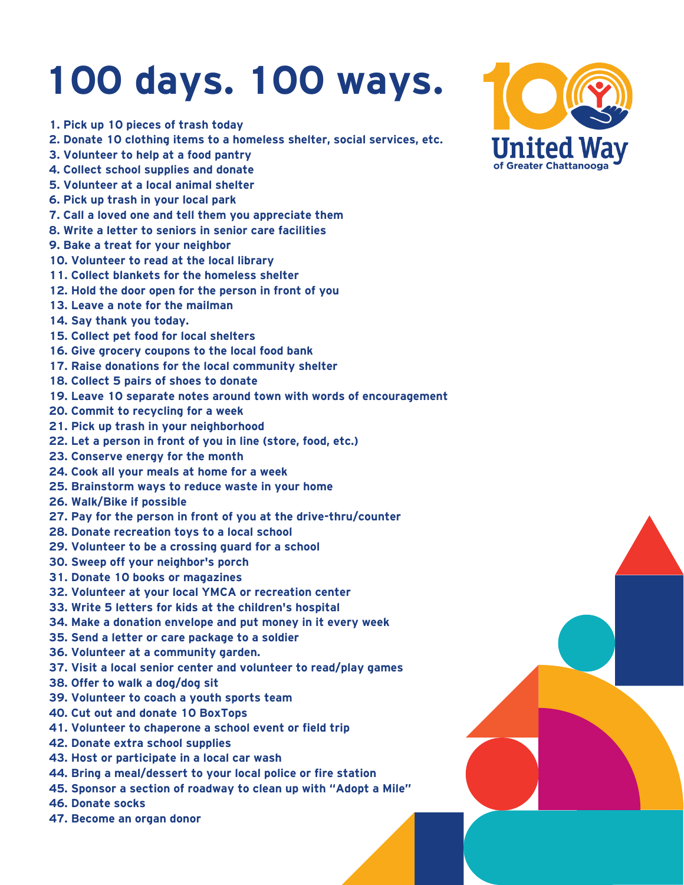## **100 days. 100 ways.**

- **1. Pick up 10 pieces of trash today**
- **2. Donate 10 clothing items to a homeless shelter, social services, etc.**
- **3. Volunteer to help at a food pantry**
- **4. Collect school supplies and donate**
- **5. Volunteer at a local animal shelter**
- **6. Pick up trash in your local park**
- **7. Call a loved one and tell them you appreciate them**
- **8. Write a letter to seniors in senior care facilities**
- **9. Bake a treat for your neighbor**
- **10. Volunteer to read at the local library**
- **11. Collect blankets for the homeless shelter**
- **12. Hold the door open for the person in front of you**
- **13. Leave a note for the mailman**
- **14. Say thank you today.**
- **15. Collect pet food for local shelters**
- **16. Give grocery coupons to the local food bank**
- **17. Raise donations for the local community shelter**
- **18. Collect 5 pairs of shoes to donate**
- **19. Leave 10 separate notes around town with words of encouragement**
- **20. Commit to recycling for a week**
- **21. Pick up trash in your neighborhood**
- **22. Let a person in front of you in line (store, food, etc.)**
- **23. Conserve energy for the month**
- **24. Cook all your meals at home for a week**
- **25. Brainstorm ways to reduce waste in your home**
- **26. Walk/Bike if possible**
- **27. Pay for the person in front of you at the drive-thru/counter**
- **28. Donate recreation toys to a local school**
- **29. Volunteer to be a crossing guard for a school**
- **30. Sweep off your neighbor's porch**
- **31. Donate 10 books or magazines**
- **32. Volunteer at your local YMCA or recreation center**
- **33. Write 5 letters for kids at the children's hospital**
- **34. Make a donation envelope and put money in it every week**
- **35. Send a letter or care package to a soldier**
- **36. Volunteer at a community garden.**
- **37. Visit a local senior center and volunteer to read/play games**
- **38. Offer to walk a dog/dog sit**
- **39. Volunteer to coach a youth sports team**
- **40. Cut out and donate 10 BoxTops**
- **41. Volunteer to chaperone a school event or field trip**
- **42. Donate extra school supplies**
- **43. Host or participate in a local car wash**
- **44. Bring a meal/dessert to your local police or fire station**
- **45. Sponsor a section of roadway to clean up with "Adopt a Mile"**
- **46. Donate socks**
- **47. Become an organ donor**